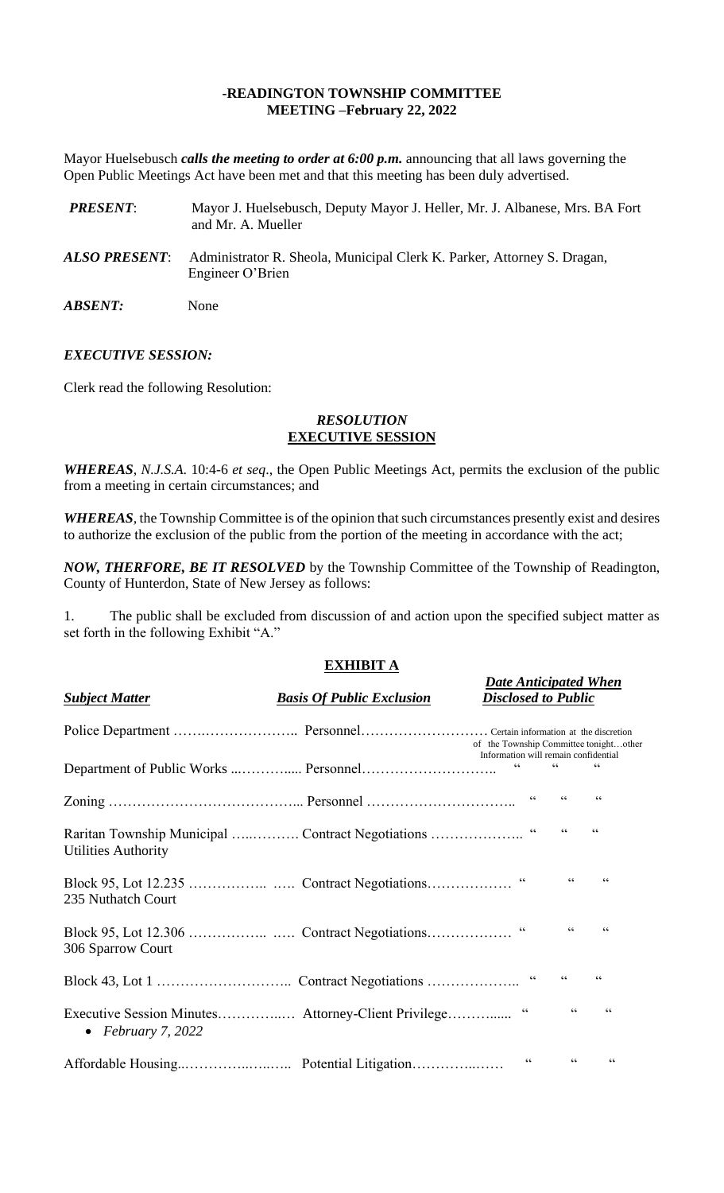# **-READINGTON TOWNSHIP COMMITTEE MEETING –February 22, 2022**

Mayor Huelsebusch *calls the meeting to order at 6:00 p.m.* announcing that all laws governing the Open Public Meetings Act have been met and that this meeting has been duly advertised.

| <b>PRESENT:</b>       | Mayor J. Huelsebusch, Deputy Mayor J. Heller, Mr. J. Albanese, Mrs. BA Fort<br>and Mr. A. Mueller |
|-----------------------|---------------------------------------------------------------------------------------------------|
| ALSO PRESENT:         | Administrator R. Sheola, Municipal Clerk K. Parker, Attorney S. Dragan,<br>Engineer O'Brien       |
| <i><b>ABSENT:</b></i> | None                                                                                              |

## *EXECUTIVE SESSION:*

Clerk read the following Resolution:

### *RESOLUTION* **EXECUTIVE SESSION**

*WHEREAS*, *N.J.S.A*. 10:4-6 *et seq*., the Open Public Meetings Act, permits the exclusion of the public from a meeting in certain circumstances; and

*WHEREAS,* the Township Committee is of the opinion that such circumstances presently exist and desires to authorize the exclusion of the public from the portion of the meeting in accordance with the act;

*NOW, THERFORE, BE IT RESOLVED* by the Township Committee of the Township of Readington, County of Hunterdon, State of New Jersey as follows:

1. The public shall be excluded from discussion of and action upon the specified subject matter as set forth in the following Exhibit "A."

# **EXHIBIT A**

*Date Anticipated When*

| <b>Subject Matter</b>      | <b>Basis Of Public Exclusion</b>                    | <b>Disclosed to Public</b>                                                     |                          |                          |
|----------------------------|-----------------------------------------------------|--------------------------------------------------------------------------------|--------------------------|--------------------------|
|                            |                                                     | of the Township Committee tonightother<br>Information will remain confidential |                          |                          |
|                            |                                                     | $\zeta \, \zeta$                                                               | $\zeta \, \zeta$         | $\zeta \, \zeta$         |
|                            |                                                     |                                                                                | $\zeta\,\zeta$           | $\textsf{G}\,\textsf{G}$ |
| <b>Utilities Authority</b> |                                                     |                                                                                | $\zeta\,\zeta$           | $\zeta\,\zeta$           |
| 235 Nuthatch Court         |                                                     |                                                                                | $\zeta\,\zeta$           | 66                       |
| 306 Sparrow Court          |                                                     |                                                                                | $\zeta\,\zeta$           | $\mathsf{G}\,\mathsf{G}$ |
|                            |                                                     |                                                                                | $\zeta\,\zeta$           | $\zeta$ $\zeta$          |
| • February 7, 2022         | Executive Session Minutes Attorney-Client Privilege | $\,$ G G                                                                       | $\zeta\,\zeta$           | $\mbox{\bf G}$           |
|                            |                                                     | $\textsf{G}\,\textsf{G}$                                                       | $\textsf{G}\,\textsf{G}$ | $\zeta \zeta$            |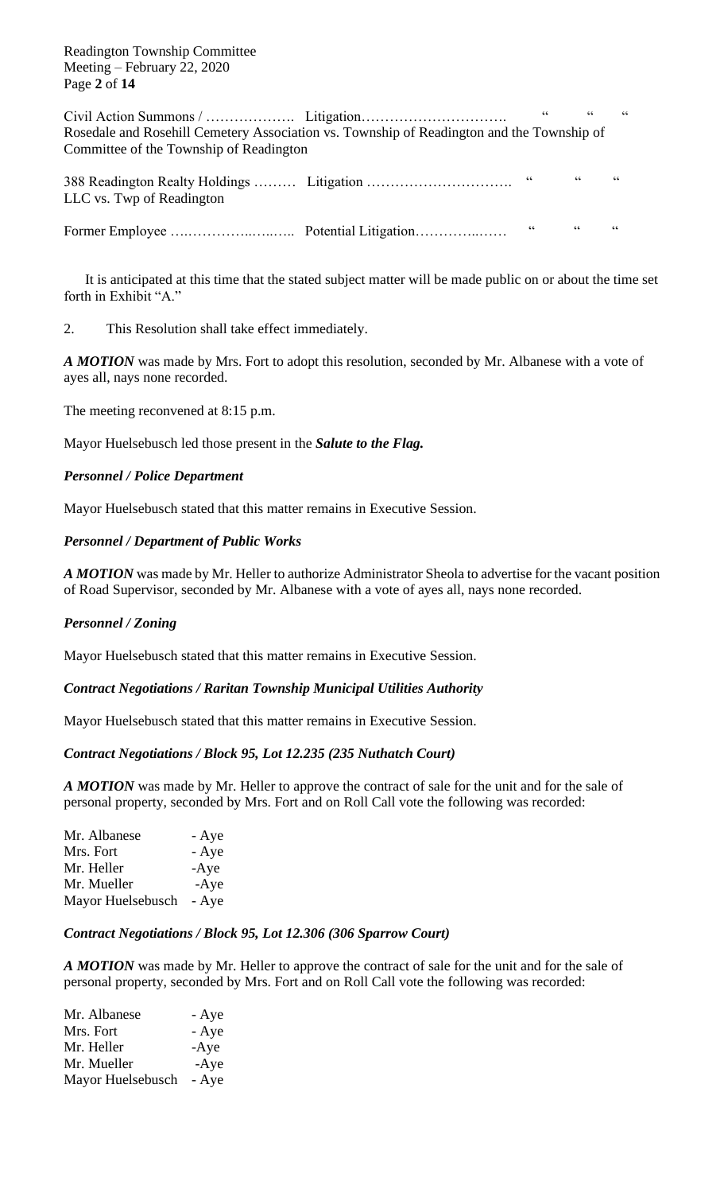Readington Township Committee Meeting – February 22, 2020 Page **2** of **14**

Civil Action Summons / ………………. Litigation…………………………. " " " Rosedale and Rosehill Cemetery Association vs. Township of Readington and the Township of Committee of the Township of Readington 388 Readington Realty Holdings ……… Litigation …………………………………………………………………………………………… LLC vs. Twp of Readington

Former Employee ….…………..…..….. Potential Litigation…………..…… " " "

It is anticipated at this time that the stated subject matter will be made public on or about the time set forth in Exhibit "A."

2. This Resolution shall take effect immediately.

*A MOTION* was made by Mrs. Fort to adopt this resolution, seconded by Mr. Albanese with a vote of ayes all, nays none recorded.

The meeting reconvened at 8:15 p.m.

Mayor Huelsebusch led those present in the *Salute to the Flag.*

## *Personnel / Police Department*

Mayor Huelsebusch stated that this matter remains in Executive Session.

## *Personnel / Department of Public Works*

*A MOTION* was made by Mr. Heller to authorize Administrator Sheola to advertise for the vacant position of Road Supervisor, seconded by Mr. Albanese with a vote of ayes all, nays none recorded.

#### *Personnel / Zoning*

Mayor Huelsebusch stated that this matter remains in Executive Session.

#### *Contract Negotiations / Raritan Township Municipal Utilities Authority*

Mayor Huelsebusch stated that this matter remains in Executive Session.

#### *Contract Negotiations / Block 95, Lot 12.235 (235 Nuthatch Court)*

*A MOTION* was made by Mr. Heller to approve the contract of sale for the unit and for the sale of personal property, seconded by Mrs. Fort and on Roll Call vote the following was recorded:

| Mr. Albanese      | - Aye  |
|-------------------|--------|
| Mrs. Fort         | - Aye  |
| Mr. Heller        | $-Aye$ |
| Mr. Mueller       | $-Aye$ |
| Mayor Huelsebusch | - Aye  |

#### *Contract Negotiations / Block 95, Lot 12.306 (306 Sparrow Court)*

*A MOTION* was made by Mr. Heller to approve the contract of sale for the unit and for the sale of personal property, seconded by Mrs. Fort and on Roll Call vote the following was recorded:

| Mr. Albanese      | - Aye  |
|-------------------|--------|
| Mrs. Fort         | - Aye  |
| Mr. Heller        | $-Aye$ |
| Mr. Mueller       | $-Aye$ |
| Mayor Huelsebusch | - Aye  |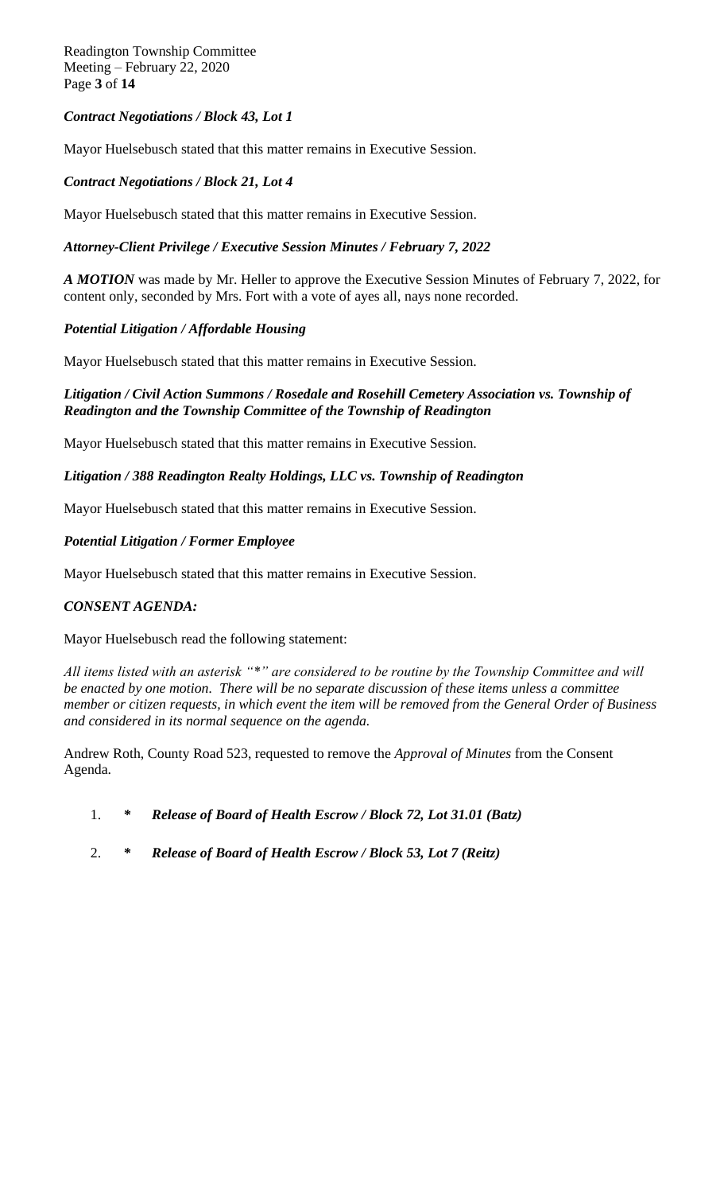Readington Township Committee Meeting – February 22, 2020 Page **3** of **14**

# *Contract Negotiations / Block 43, Lot 1*

Mayor Huelsebusch stated that this matter remains in Executive Session.

# *Contract Negotiations / Block 21, Lot 4*

Mayor Huelsebusch stated that this matter remains in Executive Session.

## *Attorney-Client Privilege / Executive Session Minutes / February 7, 2022*

*A MOTION* was made by Mr. Heller to approve the Executive Session Minutes of February 7, 2022, for content only, seconded by Mrs. Fort with a vote of ayes all, nays none recorded.

# *Potential Litigation / Affordable Housing*

Mayor Huelsebusch stated that this matter remains in Executive Session.

# *Litigation / Civil Action Summons / Rosedale and Rosehill Cemetery Association vs. Township of Readington and the Township Committee of the Township of Readington*

Mayor Huelsebusch stated that this matter remains in Executive Session.

## *Litigation / 388 Readington Realty Holdings, LLC vs. Township of Readington*

Mayor Huelsebusch stated that this matter remains in Executive Session.

## *Potential Litigation / Former Employee*

Mayor Huelsebusch stated that this matter remains in Executive Session.

## *CONSENT AGENDA:*

Mayor Huelsebusch read the following statement:

*All items listed with an asterisk "\*" are considered to be routine by the Township Committee and will be enacted by one motion. There will be no separate discussion of these items unless a committee member or citizen requests, in which event the item will be removed from the General Order of Business and considered in its normal sequence on the agenda.*

Andrew Roth, County Road 523, requested to remove the *Approval of Minutes* from the Consent Agenda.

- 1. *\* Release of Board of Health Escrow / Block 72, Lot 31.01 (Batz)*
- 2. *\* Release of Board of Health Escrow / Block 53, Lot 7 (Reitz)*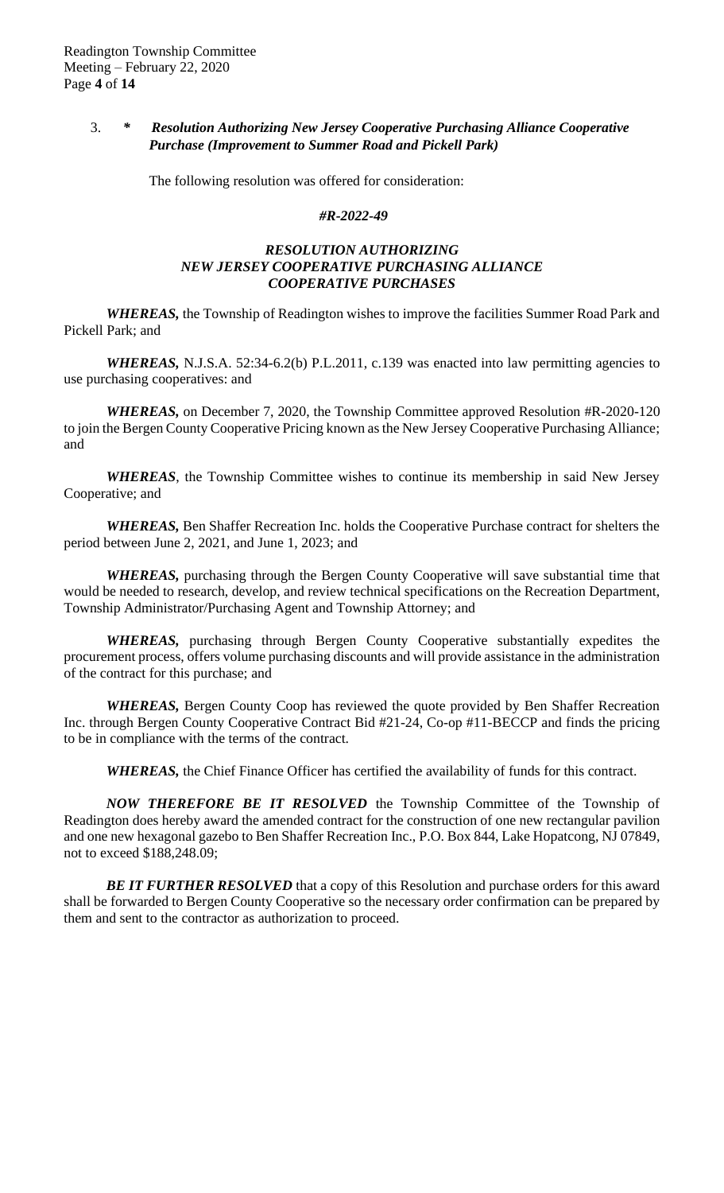# 3. *\* Resolution Authorizing New Jersey Cooperative Purchasing Alliance Cooperative Purchase (Improvement to Summer Road and Pickell Park)*

The following resolution was offered for consideration:

## *#R-2022-49*

# *RESOLUTION AUTHORIZING NEW JERSEY COOPERATIVE PURCHASING ALLIANCE COOPERATIVE PURCHASES*

*WHEREAS,* the Township of Readington wishes to improve the facilities Summer Road Park and Pickell Park; and

*WHEREAS, N.J.S.A.* 52:34-6.2(b) P.L.2011, c.139 was enacted into law permitting agencies to use purchasing cooperatives: and

*WHEREAS,* on December 7, 2020, the Township Committee approved Resolution #R-2020-120 to join the Bergen County Cooperative Pricing known as the New Jersey Cooperative Purchasing Alliance; and

*WHEREAS*, the Township Committee wishes to continue its membership in said New Jersey Cooperative; and

*WHEREAS,* Ben Shaffer Recreation Inc. holds the Cooperative Purchase contract for shelters the period between June 2, 2021, and June 1, 2023; and

*WHEREAS,* purchasing through the Bergen County Cooperative will save substantial time that would be needed to research, develop, and review technical specifications on the Recreation Department, Township Administrator/Purchasing Agent and Township Attorney; and

*WHEREAS,* purchasing through Bergen County Cooperative substantially expedites the procurement process, offers volume purchasing discounts and will provide assistance in the administration of the contract for this purchase; and

*WHEREAS,* Bergen County Coop has reviewed the quote provided by Ben Shaffer Recreation Inc. through Bergen County Cooperative Contract Bid #21-24, Co-op #11-BECCP and finds the pricing to be in compliance with the terms of the contract.

*WHEREAS,* the Chief Finance Officer has certified the availability of funds for this contract.

*NOW THEREFORE BE IT RESOLVED* the Township Committee of the Township of Readington does hereby award the amended contract for the construction of one new rectangular pavilion and one new hexagonal gazebo to Ben Shaffer Recreation Inc., P.O. Box 844, Lake Hopatcong, NJ 07849, not to exceed \$188,248.09;

**BE IT FURTHER RESOLVED** that a copy of this Resolution and purchase orders for this award shall be forwarded to Bergen County Cooperative so the necessary order confirmation can be prepared by them and sent to the contractor as authorization to proceed.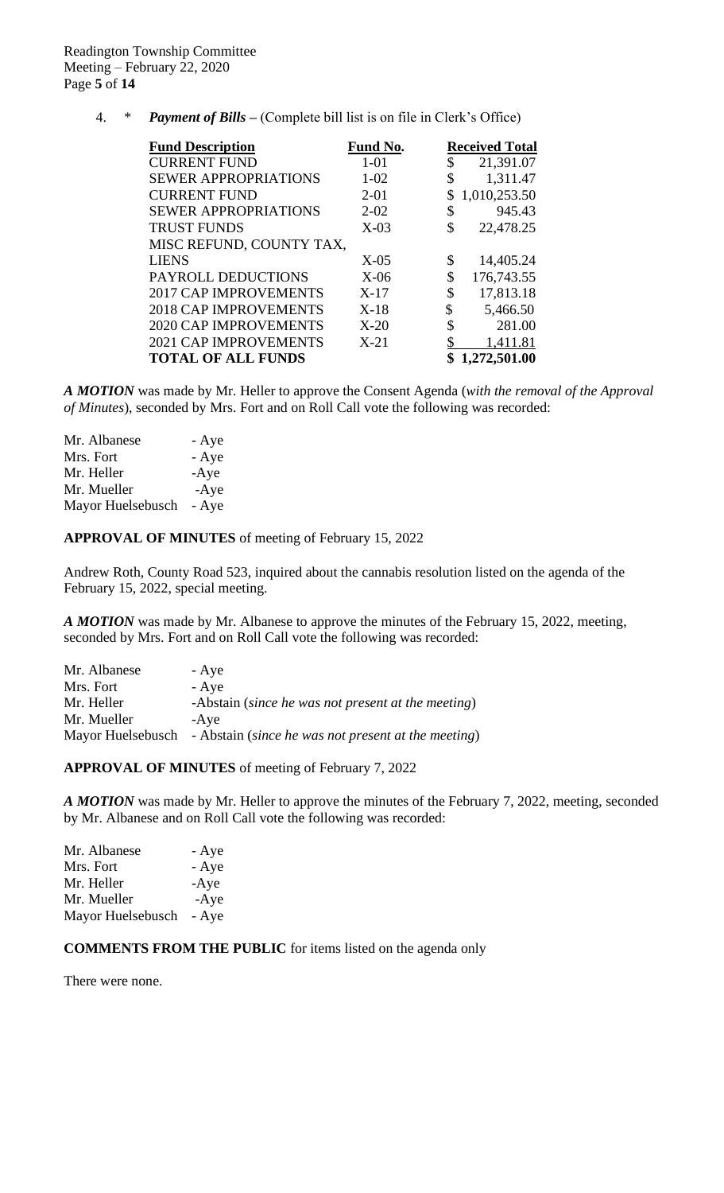4. \* *Payment of Bills –* (Complete bill list is on file in Clerk's Office)

| <b>Fund Description</b>      | <b>Fund No.</b> | <b>Received Total</b> |
|------------------------------|-----------------|-----------------------|
| <b>CURRENT FUND</b>          | $1 - 01$        | \$<br>21,391.07       |
| <b>SEWER APPROPRIATIONS</b>  | $1 - 02$        | \$<br>1,311.47        |
| <b>CURRENT FUND</b>          | $2 - 01$        | 1,010,253.50          |
| <b>SEWER APPROPRIATIONS</b>  | $2 - 02$        | \$<br>945.43          |
| <b>TRUST FUNDS</b>           | $X-03$          | \$<br>22,478.25       |
| MISC REFUND, COUNTY TAX,     |                 |                       |
| <b>LIENS</b>                 | $X-05$          | \$<br>14,405.24       |
| PAYROLL DEDUCTIONS           | $X-06$          | \$<br>176,743.55      |
| <b>2017 CAP IMPROVEMENTS</b> | $X-17$          | \$<br>17,813.18       |
| <b>2018 CAP IMPROVEMENTS</b> | $X-18$          | \$<br>5,466.50        |
| <b>2020 CAP IMPROVEMENTS</b> | $X-20$          | \$<br>281.00          |
| <b>2021 CAP IMPROVEMENTS</b> | $X-21$          | \$<br>1,411.81        |
| <b>TOTAL OF ALL FUNDS</b>    |                 | 1,272,501.00          |

*A MOTION* was made by Mr. Heller to approve the Consent Agenda (*with the removal of the Approval of Minutes*), seconded by Mrs. Fort and on Roll Call vote the following was recorded:

| Mr. Albanese      | - Aye  |
|-------------------|--------|
| Mrs. Fort         | - Aye  |
| Mr. Heller        | $-Aye$ |
| Mr. Mueller       | $-Aye$ |
| Mayor Huelsebusch | - Aye  |

## **APPROVAL OF MINUTES** of meeting of February 15, 2022

Andrew Roth, County Road 523, inquired about the cannabis resolution listed on the agenda of the February 15, 2022, special meeting.

*A MOTION* was made by Mr. Albanese to approve the minutes of the February 15, 2022, meeting, seconded by Mrs. Fort and on Roll Call vote the following was recorded:

| Mr. Albanese | - Aye                                                                 |
|--------------|-----------------------------------------------------------------------|
| Mrs. Fort    | - Aye                                                                 |
| Mr. Heller   | -Abstain (since he was not present at the meeting)                    |
| Mr. Mueller  | -Ave                                                                  |
|              | Mayor Huelsebusch - Abstain (since he was not present at the meeting) |

## **APPROVAL OF MINUTES** of meeting of February 7, 2022

*A MOTION* was made by Mr. Heller to approve the minutes of the February 7, 2022, meeting, seconded by Mr. Albanese and on Roll Call vote the following was recorded:

| Mr. Albanese      | - Aye  |
|-------------------|--------|
| Mrs. Fort         | - Aye  |
| Mr. Heller        | $-Aye$ |
| Mr. Mueller       | $-Aye$ |
| Mayor Huelsebusch | - Aye  |

# **COMMENTS FROM THE PUBLIC** for items listed on the agenda only

There were none.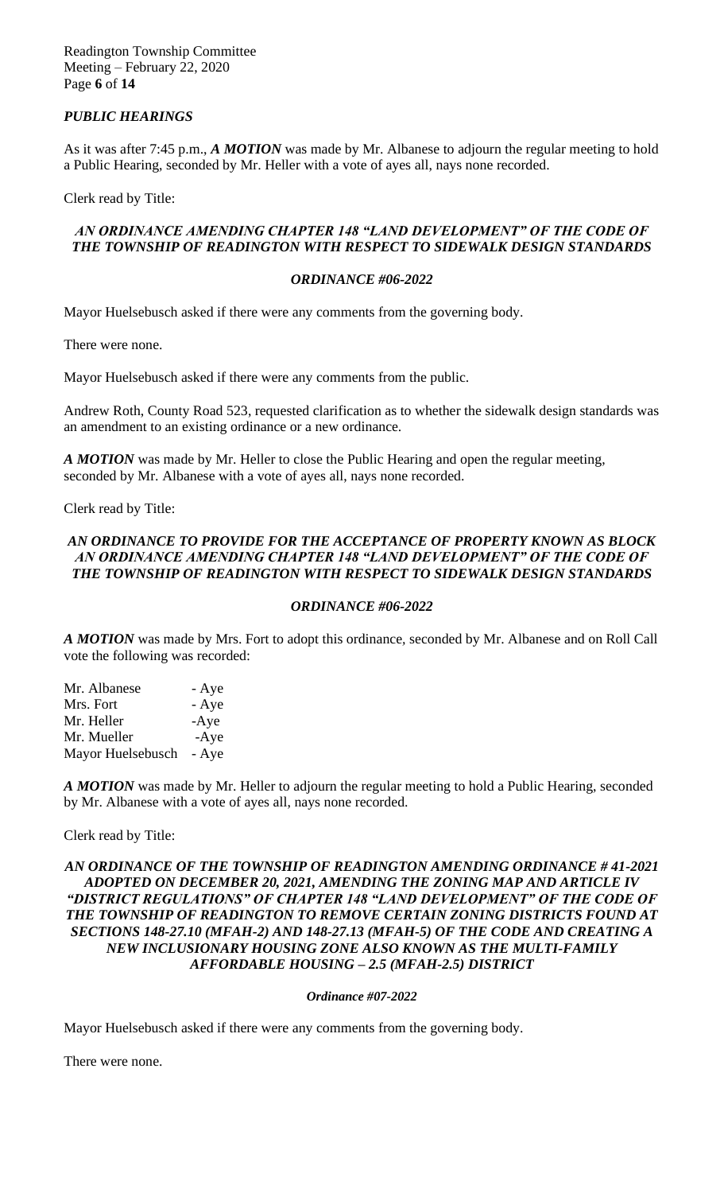Readington Township Committee Meeting – February 22, 2020 Page **6** of **14**

# *PUBLIC HEARINGS*

As it was after 7:45 p.m., *A MOTION* was made by Mr. Albanese to adjourn the regular meeting to hold a Public Hearing, seconded by Mr. Heller with a vote of ayes all, nays none recorded.

Clerk read by Title:

# *AN ORDINANCE AMENDING CHAPTER 148 "LAND DEVELOPMENT" OF THE CODE OF THE TOWNSHIP OF READINGTON WITH RESPECT TO SIDEWALK DESIGN STANDARDS*

## *ORDINANCE #06-2022*

Mayor Huelsebusch asked if there were any comments from the governing body.

There were none.

Mayor Huelsebusch asked if there were any comments from the public.

Andrew Roth, County Road 523, requested clarification as to whether the sidewalk design standards was an amendment to an existing ordinance or a new ordinance.

*A MOTION* was made by Mr. Heller to close the Public Hearing and open the regular meeting, seconded by Mr. Albanese with a vote of ayes all, nays none recorded.

Clerk read by Title:

# *AN ORDINANCE TO PROVIDE FOR THE ACCEPTANCE OF PROPERTY KNOWN AS BLOCK*  AN ORDINANCE AMENDING CHAPTER 148 "LAND DEVELOPMENT" OF THE CODE OF *THE TOWNSHIP OF READINGTON WITH RESPECT TO SIDEWALK DESIGN STANDARDS*

## *ORDINANCE #06-2022*

*A MOTION* was made by Mrs. Fort to adopt this ordinance*,* seconded by Mr. Albanese and on Roll Call vote the following was recorded:

| Mr. Albanese      | - Aye  |
|-------------------|--------|
| Mrs. Fort         | - Aye  |
| Mr. Heller        | $-Aye$ |
| Mr. Mueller       | $-Aye$ |
| Mayor Huelsebusch | - Aye  |

*A MOTION* was made by Mr. Heller to adjourn the regular meeting to hold a Public Hearing, seconded by Mr. Albanese with a vote of ayes all, nays none recorded.

Clerk read by Title:

# *AN ORDINANCE OF THE TOWNSHIP OF READINGTON AMENDING ORDINANCE # 41-2021 ADOPTED ON DECEMBER 20, 2021, AMENDING THE ZONING MAP AND ARTICLE IV*  "DISTRICT REGULATIONS" OF CHAPTER 148 "LAND DEVELOPMENT" OF THE CODE OF *THE TOWNSHIP OF READINGTON TO REMOVE CERTAIN ZONING DISTRICTS FOUND AT SECTIONS 148-27.10 (MFAH-2) AND 148-27.13 (MFAH-5) OF THE CODE AND CREATING A NEW INCLUSIONARY HOUSING ZONE ALSO KNOWN AS THE MULTI-FAMILY AFFORDABLE HOUSING – 2.5 (MFAH-2.5) DISTRICT*

## *Ordinance #07-2022*

Mayor Huelsebusch asked if there were any comments from the governing body.

There were none.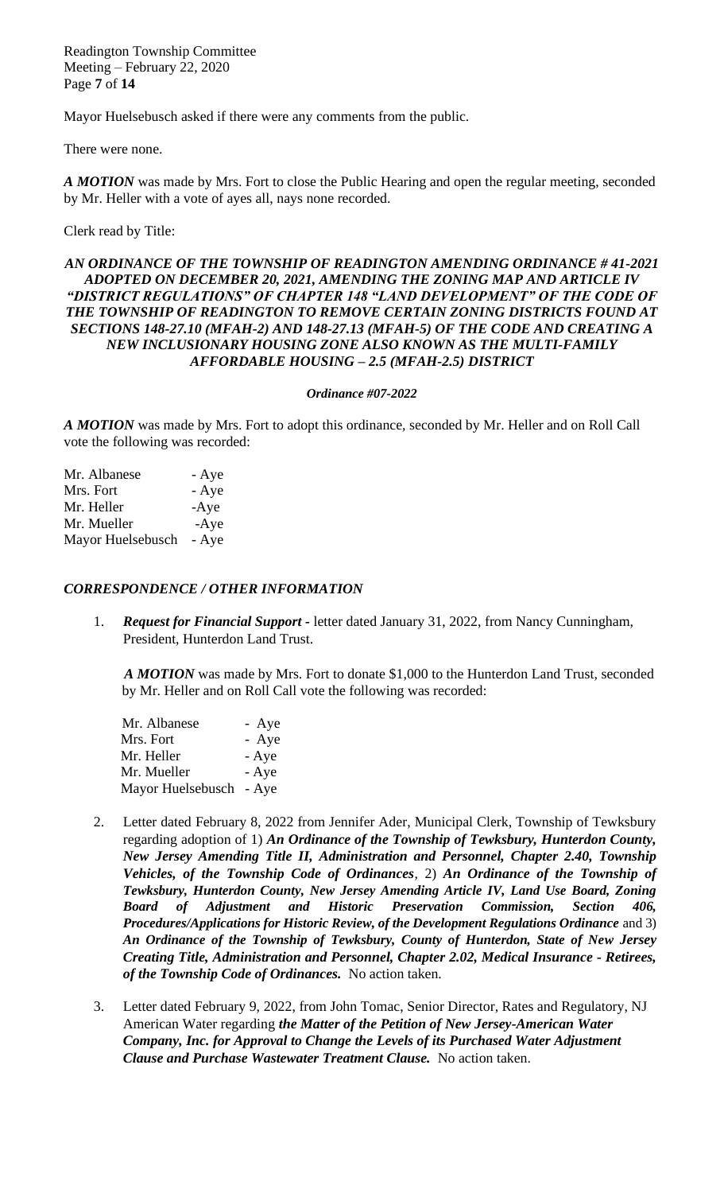Readington Township Committee Meeting – February 22, 2020 Page **7** of **14**

Mayor Huelsebusch asked if there were any comments from the public.

There were none.

*A MOTION* was made by Mrs. Fort to close the Public Hearing and open the regular meeting, seconded by Mr. Heller with a vote of ayes all, nays none recorded.

### Clerk read by Title:

## *AN ORDINANCE OF THE TOWNSHIP OF READINGTON AMENDING ORDINANCE # 41-2021 ADOPTED ON DECEMBER 20, 2021, AMENDING THE ZONING MAP AND ARTICLE IV*  "DISTRICT REGULATIONS" OF CHAPTER 148 "LAND DEVELOPMENT" OF THE CODE OF *THE TOWNSHIP OF READINGTON TO REMOVE CERTAIN ZONING DISTRICTS FOUND AT SECTIONS 148-27.10 (MFAH-2) AND 148-27.13 (MFAH-5) OF THE CODE AND CREATING A NEW INCLUSIONARY HOUSING ZONE ALSO KNOWN AS THE MULTI-FAMILY AFFORDABLE HOUSING – 2.5 (MFAH-2.5) DISTRICT*

#### *Ordinance #07-2022*

*A MOTION* was made by Mrs. Fort to adopt this ordinance*,* seconded by Mr. Heller and on Roll Call vote the following was recorded:

| Mr. Albanese      | - Aye  |
|-------------------|--------|
| Mrs. Fort         | - Aye  |
| Mr. Heller        | $-Aye$ |
| Mr. Mueller       | $-Aye$ |
| Mayor Huelsebusch | - Aye  |

#### *CORRESPONDENCE / OTHER INFORMATION*

1. *Request for Financial Support -* letter dated January 31, 2022, from Nancy Cunningham, President, Hunterdon Land Trust.

 *A MOTION* was made by Mrs. Fort to donate \$1,000 to the Hunterdon Land Trust*,* seconded by Mr. Heller and on Roll Call vote the following was recorded:

| Mr. Albanese            | - Aye |
|-------------------------|-------|
| Mrs. Fort               | - Aye |
| Mr. Heller              | - Aye |
| Mr. Mueller             | - Aye |
| Mayor Huelsebusch - Aye |       |

- 2. Letter dated February 8, 2022 from Jennifer Ader, Municipal Clerk, Township of Tewksbury regarding adoption of 1) *An Ordinance of the Township of Tewksbury, Hunterdon County, New Jersey Amending Title II, Administration and Personnel, Chapter 2.40, Township Vehicles, of the Township Code of Ordinances*, 2) *An Ordinance of the Township of Tewksbury, Hunterdon County, New Jersey Amending Article IV, Land Use Board, Zoning Board of Adjustment and Historic Preservation Commission, Section 406, Procedures/Applications for Historic Review, of the Development Regulations Ordinance* and 3) *An Ordinance of the Township of Tewksbury, County of Hunterdon, State of New Jersey Creating Title, Administration and Personnel, Chapter 2.02, Medical Insurance - Retirees, of the Township Code of Ordinances.* No action taken.
- 3. Letter dated February 9, 2022, from John Tomac, Senior Director, Rates and Regulatory, NJ American Water regarding *the Matter of the Petition of New Jersey-American Water Company, Inc. for Approval to Change the Levels of its Purchased Water Adjustment Clause and Purchase Wastewater Treatment Clause.* No action taken.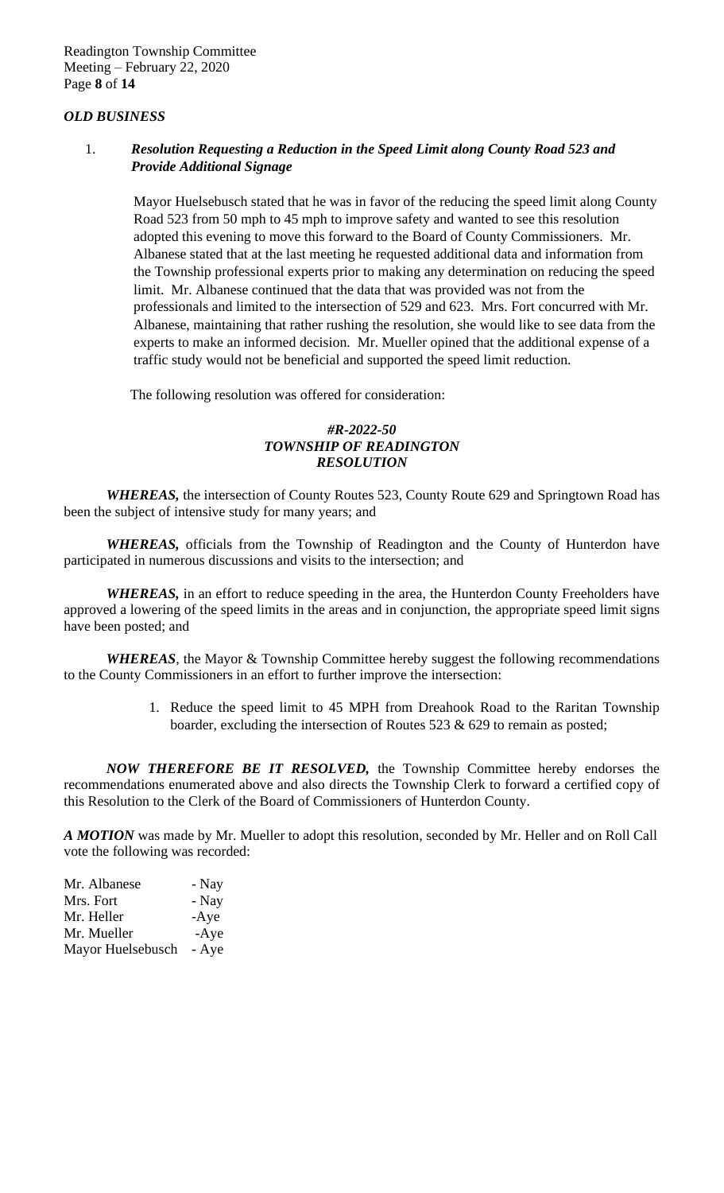### *OLD BUSINESS*

# 1. *Resolution Requesting a Reduction in the Speed Limit along County Road 523 and Provide Additional Signage*

 Mayor Huelsebusch stated that he was in favor of the reducing the speed limit along County Road 523 from 50 mph to 45 mph to improve safety and wanted to see this resolution adopted this evening to move this forward to the Board of County Commissioners. Mr. Albanese stated that at the last meeting he requested additional data and information from the Township professional experts prior to making any determination on reducing the speed limit. Mr. Albanese continued that the data that was provided was not from the professionals and limited to the intersection of 529 and 623. Mrs. Fort concurred with Mr. Albanese, maintaining that rather rushing the resolution, she would like to see data from the experts to make an informed decision. Mr. Mueller opined that the additional expense of a traffic study would not be beneficial and supported the speed limit reduction.

The following resolution was offered for consideration:

# *#R-2022-50 TOWNSHIP OF READINGTON RESOLUTION*

*WHEREAS,* the intersection of County Routes 523, County Route 629 and Springtown Road has been the subject of intensive study for many years; and

*WHEREAS,* officials from the Township of Readington and the County of Hunterdon have participated in numerous discussions and visits to the intersection; and

*WHEREAS,* in an effort to reduce speeding in the area, the Hunterdon County Freeholders have approved a lowering of the speed limits in the areas and in conjunction, the appropriate speed limit signs have been posted; and

*WHEREAS*, the Mayor & Township Committee hereby suggest the following recommendations to the County Commissioners in an effort to further improve the intersection:

> 1. Reduce the speed limit to 45 MPH from Dreahook Road to the Raritan Township boarder, excluding the intersection of Routes 523  $& 629$  to remain as posted;

*NOW THEREFORE BE IT RESOLVED,* the Township Committee hereby endorses the recommendations enumerated above and also directs the Township Clerk to forward a certified copy of this Resolution to the Clerk of the Board of Commissioners of Hunterdon County.

*A MOTION* was made by Mr. Mueller to adopt this resolution*,* seconded by Mr. Heller and on Roll Call vote the following was recorded:

| Mr. Albanese      | - Nay  |
|-------------------|--------|
| Mrs. Fort         | - Nay  |
| Mr. Heller        | $-Aye$ |
| Mr. Mueller       | $-Aye$ |
| Mayor Huelsebusch | - Aye  |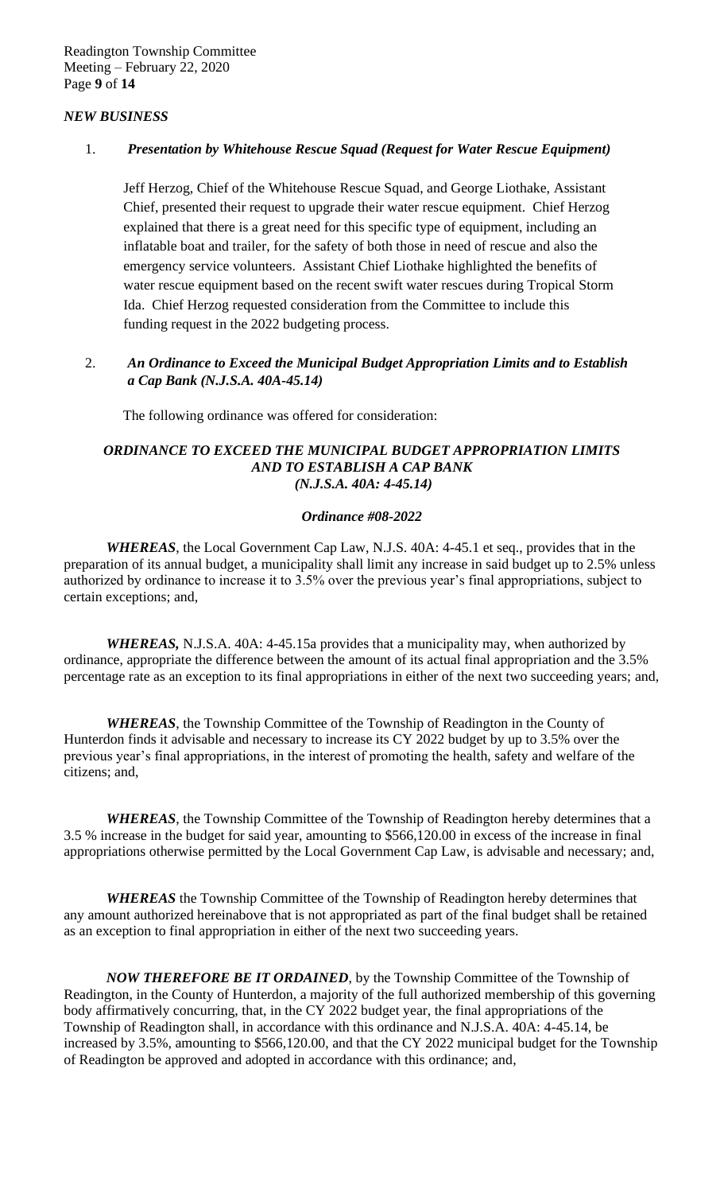# *NEW BUSINESS*

# 1. *Presentation by Whitehouse Rescue Squad (Request for Water Rescue Equipment)*

Jeff Herzog, Chief of the Whitehouse Rescue Squad, and George Liothake, Assistant Chief, presented their request to upgrade their water rescue equipment. Chief Herzog explained that there is a great need for this specific type of equipment, including an inflatable boat and trailer, for the safety of both those in need of rescue and also the emergency service volunteers. Assistant Chief Liothake highlighted the benefits of water rescue equipment based on the recent swift water rescues during Tropical Storm Ida. Chief Herzog requested consideration from the Committee to include this funding request in the 2022 budgeting process.

# 2. *An Ordinance to Exceed the Municipal Budget Appropriation Limits and to Establish a Cap Bank (N.J.S.A. 40A-45.14)*

The following ordinance was offered for consideration:

### *ORDINANCE TO EXCEED THE MUNICIPAL BUDGET APPROPRIATION LIMITS AND TO ESTABLISH A CAP BANK (N.J.S.A. 40A: 4-45.14)*

## *Ordinance #08-2022*

*WHEREAS*, the Local Government Cap Law, N.J.S. 40A: 4-45.1 et seq., provides that in the preparation of its annual budget, a municipality shall limit any increase in said budget up to 2.5% unless authorized by ordinance to increase it to 3.5% over the previous year's final appropriations, subject to certain exceptions; and,

*WHEREAS,* N.J.S.A. 40A: 4-45.15a provides that a municipality may, when authorized by ordinance, appropriate the difference between the amount of its actual final appropriation and the 3.5% percentage rate as an exception to its final appropriations in either of the next two succeeding years; and,

*WHEREAS*, the Township Committee of the Township of Readington in the County of Hunterdon finds it advisable and necessary to increase its CY 2022 budget by up to 3.5% over the previous year's final appropriations, in the interest of promoting the health, safety and welfare of the citizens; and,

*WHEREAS*, the Township Committee of the Township of Readington hereby determines that a 3.5 % increase in the budget for said year, amounting to \$566,120.00 in excess of the increase in final appropriations otherwise permitted by the Local Government Cap Law, is advisable and necessary; and,

*WHEREAS* the Township Committee of the Township of Readington hereby determines that any amount authorized hereinabove that is not appropriated as part of the final budget shall be retained as an exception to final appropriation in either of the next two succeeding years.

*NOW THEREFORE BE IT ORDAINED*, by the Township Committee of the Township of Readington, in the County of Hunterdon, a majority of the full authorized membership of this governing body affirmatively concurring, that, in the CY 2022 budget year, the final appropriations of the Township of Readington shall, in accordance with this ordinance and N.J.S.A. 40A: 4-45.14, be increased by 3.5%, amounting to \$566,120.00, and that the CY 2022 municipal budget for the Township of Readington be approved and adopted in accordance with this ordinance; and,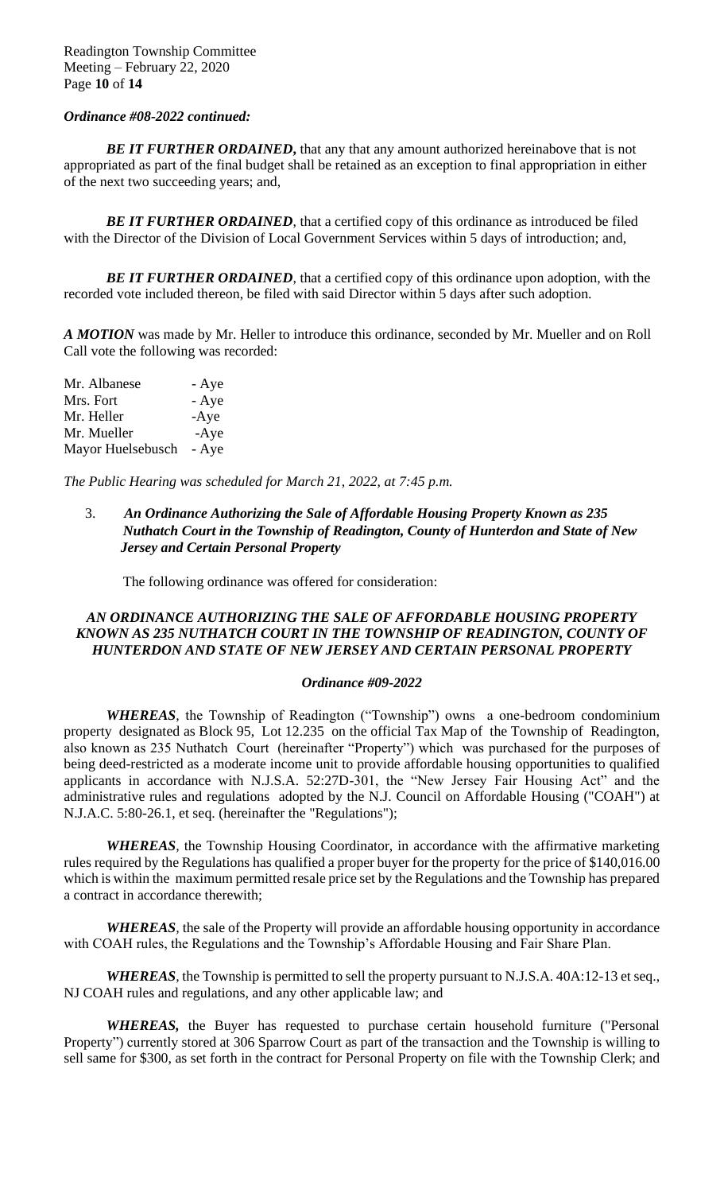### *Ordinance #08-2022 continued:*

**BE IT FURTHER ORDAINED, that any that any amount authorized hereinabove that is not** appropriated as part of the final budget shall be retained as an exception to final appropriation in either of the next two succeeding years; and,

**BE IT FURTHER ORDAINED**, that a certified copy of this ordinance as introduced be filed with the Director of the Division of Local Government Services within 5 days of introduction; and,

**BE IT FURTHER ORDAINED**, that a certified copy of this ordinance upon adoption, with the recorded vote included thereon, be filed with said Director within 5 days after such adoption.

*A MOTION* was made by Mr. Heller to introduce this ordinance*,* seconded by Mr. Mueller and on Roll Call vote the following was recorded:

Mr. Albanese - Aye Mrs. Fort - Aye Mr. Heller -Aye Mr. Mueller -Aye Mayor Huelsebusch - Aye

*The Public Hearing was scheduled for March 21, 2022, at 7:45 p.m.* 

# 3. *An Ordinance Authorizing the Sale of Affordable Housing Property Known as 235 Nuthatch Court in the Township of Readington, County of Hunterdon and State of New Jersey and Certain Personal Property*

The following ordinance was offered for consideration:

# *AN ORDINANCE AUTHORIZING THE SALE OF AFFORDABLE HOUSING PROPERTY KNOWN AS 235 NUTHATCH COURT IN THE TOWNSHIP OF READINGTON, COUNTY OF HUNTERDON AND STATE OF NEW JERSEY AND CERTAIN PERSONAL PROPERTY*

#### *Ordinance #09-2022*

*WHEREAS,* the Township of Readington ("Township") owns a one-bedroom condominium property designated as Block 95, Lot 12.235 on the official Tax Map of the Township of Readington, also known as 235 Nuthatch Court (hereinafter "Property") which was purchased for the purposes of being deed-restricted as a moderate income unit to provide affordable housing opportunities to qualified applicants in accordance with N.J.S.A. 52:27D-301, the "New Jersey Fair Housing Act" and the administrative rules and regulations adopted by the N.J. Council on Affordable Housing ("COAH") at N.J.A.C. 5:80-26.1, et seq. (hereinafter the "Regulations");

*WHEREAS,* the Township Housing Coordinator, in accordance with the affirmative marketing rules required by the Regulations has qualified a proper buyer for the property for the price of \$140,016.00 which is within the maximum permitted resale price set by the Regulations and the Township has prepared a contract in accordance therewith;

*WHEREAS,* the sale of the Property will provide an affordable housing opportunity in accordance with COAH rules, the Regulations and the Township's Affordable Housing and Fair Share Plan.

*WHEREAS,* the Township is permitted to sell the property pursuant to N.J.S.A. 40A:12-13 et seq., NJ COAH rules and regulations, and any other applicable law; and

*WHEREAS,* the Buyer has requested to purchase certain household furniture ("Personal Property") currently stored at 306 Sparrow Court as part of the transaction and the Township is willing to sell same for \$300, as set forth in the contract for Personal Property on file with the Township Clerk; and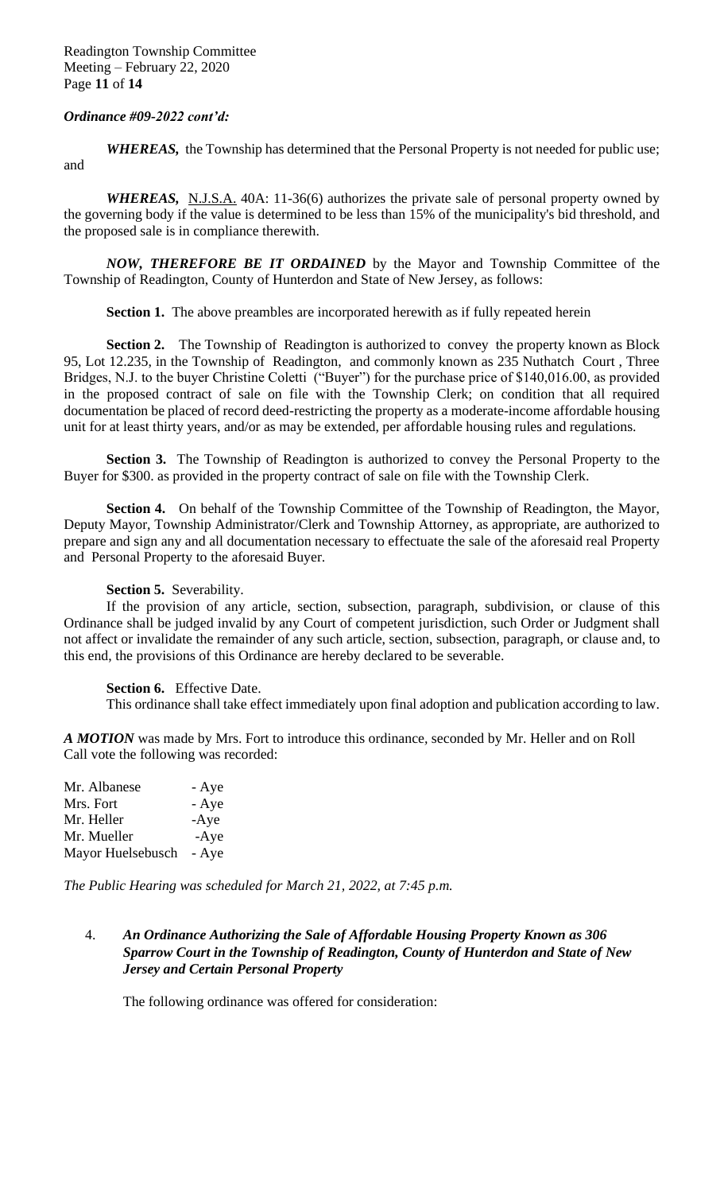### *Ordinance #09-2022 cont'd:*

*WHEREAS,* the Township has determined that the Personal Property is not needed for public use; and

*WHEREAS,* N.J.S.A. 40A: 11-36(6) authorizes the private sale of personal property owned by the governing body if the value is determined to be less than 15% of the municipality's bid threshold, and the proposed sale is in compliance therewith.

*NOW, THEREFORE BE IT ORDAINED* by the Mayor and Township Committee of the Township of Readington, County of Hunterdon and State of New Jersey, as follows:

**Section 1.** The above preambles are incorporated herewith as if fully repeated herein

**Section 2.** The Township of Readington is authorized to convey the property known as Block 95, Lot 12.235, in the Township of Readington, and commonly known as 235 Nuthatch Court , Three Bridges, N.J. to the buyer Christine Coletti ("Buyer") for the purchase price of \$140,016.00, as provided in the proposed contract of sale on file with the Township Clerk; on condition that all required documentation be placed of record deed-restricting the property as a moderate-income affordable housing unit for at least thirty years, and/or as may be extended, per affordable housing rules and regulations.

**Section 3.** The Township of Readington is authorized to convey the Personal Property to the Buyer for \$300. as provided in the property contract of sale on file with the Township Clerk.

**Section 4.** On behalf of the Township Committee of the Township of Readington, the Mayor, Deputy Mayor, Township Administrator/Clerk and Township Attorney, as appropriate, are authorized to prepare and sign any and all documentation necessary to effectuate the sale of the aforesaid real Property and Personal Property to the aforesaid Buyer.

#### **Section 5.** Severability.

If the provision of any article, section, subsection, paragraph, subdivision, or clause of this Ordinance shall be judged invalid by any Court of competent jurisdiction, such Order or Judgment shall not affect or invalidate the remainder of any such article, section, subsection, paragraph, or clause and, to this end, the provisions of this Ordinance are hereby declared to be severable.

**Section 6.** Effective Date.

This ordinance shall take effect immediately upon final adoption and publication according to law.

*A MOTION* was made by Mrs. Fort to introduce this ordinance*,* seconded by Mr. Heller and on Roll Call vote the following was recorded:

| Mr. Albanese      | - Aye  |
|-------------------|--------|
| Mrs. Fort         | - Aye  |
| Mr. Heller        | $-Aye$ |
| Mr. Mueller       | $-Aye$ |
| Mayor Huelsebusch | - Aye  |

*The Public Hearing was scheduled for March 21, 2022, at 7:45 p.m.* 

# 4. *An Ordinance Authorizing the Sale of Affordable Housing Property Known as 306 Sparrow Court in the Township of Readington, County of Hunterdon and State of New Jersey and Certain Personal Property*

The following ordinance was offered for consideration: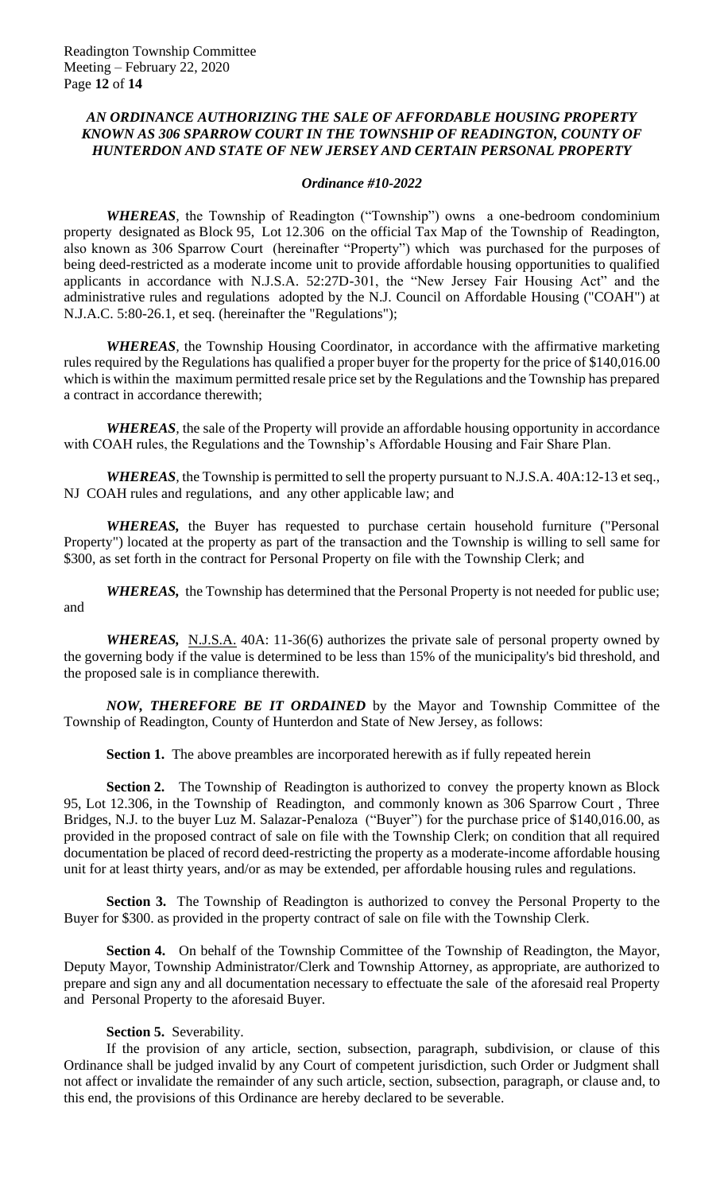## *AN ORDINANCE AUTHORIZING THE SALE OF AFFORDABLE HOUSING PROPERTY KNOWN AS 306 SPARROW COURT IN THE TOWNSHIP OF READINGTON, COUNTY OF HUNTERDON AND STATE OF NEW JERSEY AND CERTAIN PERSONAL PROPERTY*

#### *Ordinance #10-2022*

*WHEREAS,* the Township of Readington ("Township") owns a one-bedroom condominium property designated as Block 95, Lot 12.306 on the official Tax Map of the Township of Readington, also known as 306 Sparrow Court (hereinafter "Property") which was purchased for the purposes of being deed-restricted as a moderate income unit to provide affordable housing opportunities to qualified applicants in accordance with N.J.S.A. 52:27D-301, the "New Jersey Fair Housing Act" and the administrative rules and regulations adopted by the N.J. Council on Affordable Housing ("COAH") at N.J.A.C. 5:80-26.1, et seq. (hereinafter the "Regulations");

*WHEREAS,* the Township Housing Coordinator, in accordance with the affirmative marketing rules required by the Regulations has qualified a proper buyer for the property for the price of \$140,016.00 which is within the maximum permitted resale price set by the Regulations and the Township has prepared a contract in accordance therewith;

*WHEREAS,* the sale of the Property will provide an affordable housing opportunity in accordance with COAH rules, the Regulations and the Township's Affordable Housing and Fair Share Plan.

*WHEREAS,* the Township is permitted to sell the property pursuant to N.J.S.A. 40A:12-13 et seq., NJ COAH rules and regulations, and any other applicable law; and

*WHEREAS,* the Buyer has requested to purchase certain household furniture ("Personal Property") located at the property as part of the transaction and the Township is willing to sell same for \$300, as set forth in the contract for Personal Property on file with the Township Clerk; and

*WHEREAS,* the Township has determined that the Personal Property is not needed for public use; and

*WHEREAS,* N.J.S.A. 40A: 11-36(6) authorizes the private sale of personal property owned by the governing body if the value is determined to be less than 15% of the municipality's bid threshold, and the proposed sale is in compliance therewith.

*NOW, THEREFORE BE IT ORDAINED* by the Mayor and Township Committee of the Township of Readington, County of Hunterdon and State of New Jersey, as follows:

**Section 1.** The above preambles are incorporated herewith as if fully repeated herein

**Section 2.** The Township of Readington is authorized to convey the property known as Block 95, Lot 12.306, in the Township of Readington, and commonly known as 306 Sparrow Court , Three Bridges, N.J. to the buyer Luz M. Salazar-Penaloza ("Buyer") for the purchase price of \$140,016.00, as provided in the proposed contract of sale on file with the Township Clerk; on condition that all required documentation be placed of record deed-restricting the property as a moderate-income affordable housing unit for at least thirty years, and/or as may be extended, per affordable housing rules and regulations.

**Section 3.** The Township of Readington is authorized to convey the Personal Property to the Buyer for \$300. as provided in the property contract of sale on file with the Township Clerk.

**Section 4.** On behalf of the Township Committee of the Township of Readington, the Mayor, Deputy Mayor, Township Administrator/Clerk and Township Attorney, as appropriate, are authorized to prepare and sign any and all documentation necessary to effectuate the sale of the aforesaid real Property and Personal Property to the aforesaid Buyer.

## **Section 5.** Severability.

If the provision of any article, section, subsection, paragraph, subdivision, or clause of this Ordinance shall be judged invalid by any Court of competent jurisdiction, such Order or Judgment shall not affect or invalidate the remainder of any such article, section, subsection, paragraph, or clause and, to this end, the provisions of this Ordinance are hereby declared to be severable.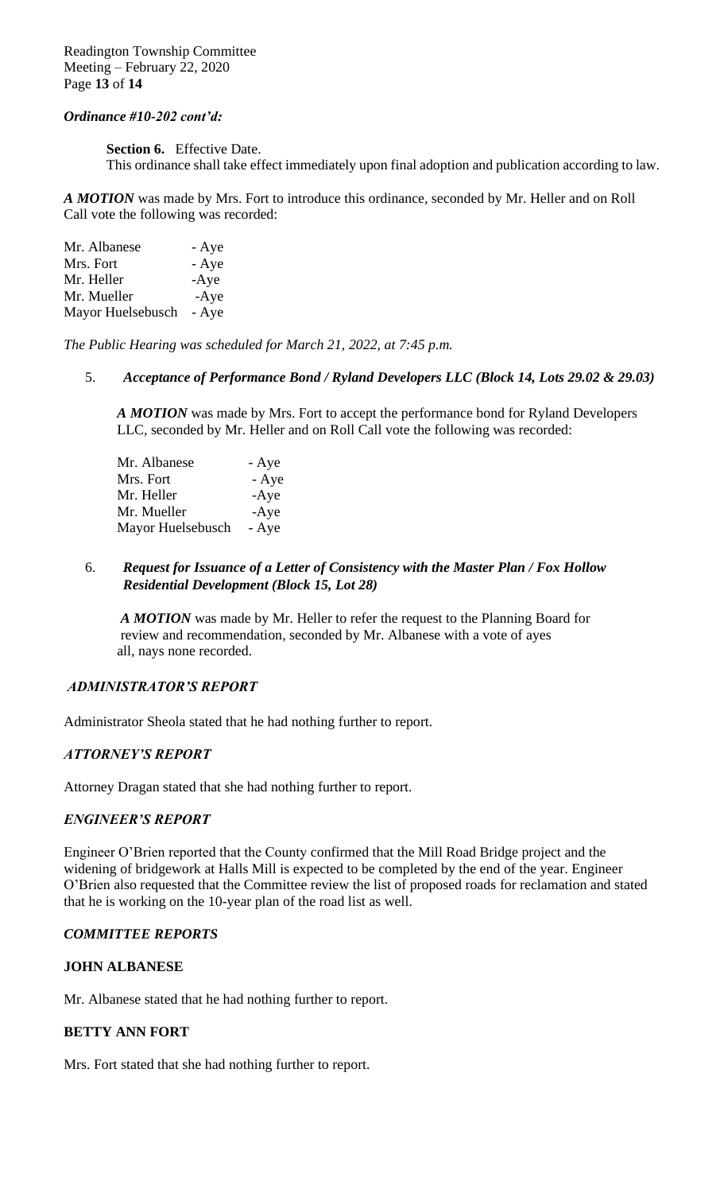Readington Township Committee Meeting – February 22, 2020 Page **13** of **14**

### *Ordinance #10-202 cont'd:*

**Section 6.** Effective Date.

This ordinance shall take effect immediately upon final adoption and publication according to law.

*A MOTION* was made by Mrs. Fort to introduce this ordinance*,* seconded by Mr. Heller and on Roll Call vote the following was recorded:

| Mr. Albanese      | - Aye  |
|-------------------|--------|
| Mrs. Fort         | - Aye  |
| Mr. Heller        | $-Aye$ |
| Mr. Mueller       | $-Aye$ |
| Mayor Huelsebusch | - Aye  |

*The Public Hearing was scheduled for March 21, 2022, at 7:45 p.m.* 

#### 5. *Acceptance of Performance Bond / Ryland Developers LLC (Block 14, Lots 29.02 & 29.03)*

 *A MOTION* was made by Mrs. Fort to accept the performance bond for Ryland Developers LLC*,* seconded by Mr. Heller and on Roll Call vote the following was recorded:

| Mr. Albanese      | - Aye  |
|-------------------|--------|
| Mrs. Fort         | - Aye  |
| Mr. Heller        | $-Aye$ |
| Mr. Mueller       | $-Aye$ |
| Mayor Huelsebusch | - Aye  |

## 6. *Request for Issuance of a Letter of Consistency with the Master Plan / Fox Hollow Residential Development (Block 15, Lot 28)*

 *A MOTION* was made by Mr. Heller to refer the request to the Planning Board for review and recommendation*,* seconded by Mr. Albanese with a vote of ayes all, nays none recorded.

## *ADMINISTRATOR'S REPORT*

Administrator Sheola stated that he had nothing further to report.

## *ATTORNEY'S REPORT*

Attorney Dragan stated that she had nothing further to report.

## *ENGINEER'S REPORT*

Engineer O'Brien reported that the County confirmed that the Mill Road Bridge project and the widening of bridgework at Halls Mill is expected to be completed by the end of the year. Engineer O'Brien also requested that the Committee review the list of proposed roads for reclamation and stated that he is working on the 10-year plan of the road list as well.

## *COMMITTEE REPORTS*

## **JOHN ALBANESE**

Mr. Albanese stated that he had nothing further to report.

## **BETTY ANN FORT**

Mrs. Fort stated that she had nothing further to report.